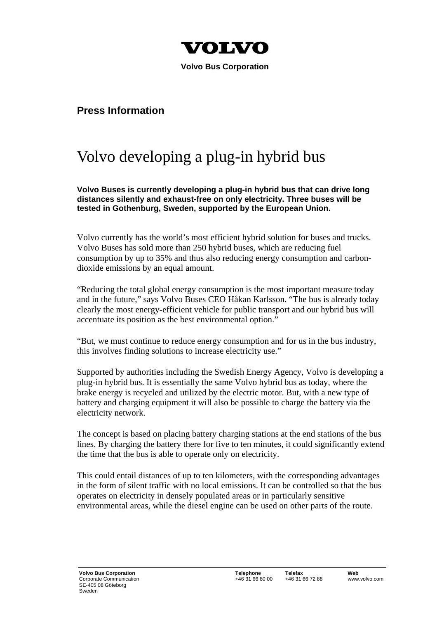

 **Volvo Bus Corporation** 

## **Press Information**

## Volvo developing a plug-in hybrid bus

**Volvo Buses is currently developing a plug-in hybrid bus that can drive long distances silently and exhaust-free on only electricity. Three buses will be tested in Gothenburg, Sweden, supported by the European Union.** 

Volvo currently has the world's most efficient hybrid solution for buses and trucks. Volvo Buses has sold more than 250 hybrid buses, which are reducing fuel consumption by up to 35% and thus also reducing energy consumption and carbondioxide emissions by an equal amount.

"Reducing the total global energy consumption is the most important measure today and in the future," says Volvo Buses CEO Håkan Karlsson. "The bus is already today clearly the most energy-efficient vehicle for public transport and our hybrid bus will accentuate its position as the best environmental option."

"But, we must continue to reduce energy consumption and for us in the bus industry, this involves finding solutions to increase electricity use."

Supported by authorities including the Swedish Energy Agency, Volvo is developing a plug-in hybrid bus. It is essentially the same Volvo hybrid bus as today, where the brake energy is recycled and utilized by the electric motor. But, with a new type of battery and charging equipment it will also be possible to charge the battery via the electricity network.

The concept is based on placing battery charging stations at the end stations of the bus lines. By charging the battery there for five to ten minutes, it could significantly extend the time that the bus is able to operate only on electricity.

This could entail distances of up to ten kilometers, with the corresponding advantages in the form of silent traffic with no local emissions. It can be controlled so that the bus operates on electricity in densely populated areas or in particularly sensitive environmental areas, while the diesel engine can be used on other parts of the route.